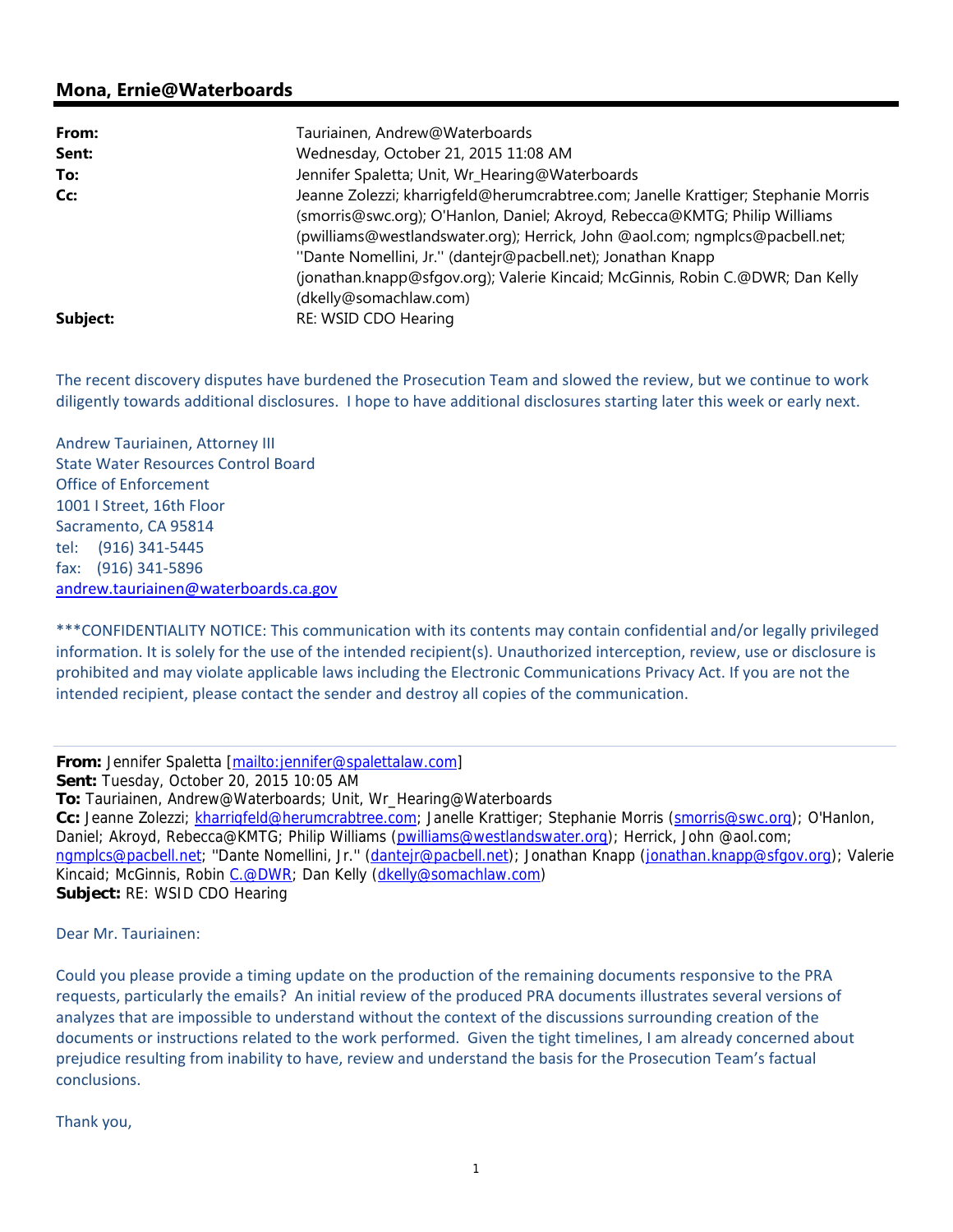## **Mona, Ernie@Waterboards**

| From:    | Tauriainen, Andrew@Waterboards                                                                                                                                                                                                                                                                                                                                                                                               |
|----------|------------------------------------------------------------------------------------------------------------------------------------------------------------------------------------------------------------------------------------------------------------------------------------------------------------------------------------------------------------------------------------------------------------------------------|
| Sent:    | Wednesday, October 21, 2015 11:08 AM                                                                                                                                                                                                                                                                                                                                                                                         |
| To:      | Jennifer Spaletta; Unit, Wr_Hearing@Waterboards                                                                                                                                                                                                                                                                                                                                                                              |
| Cc:      | Jeanne Zolezzi; kharrigfeld@herumcrabtree.com; Janelle Krattiger; Stephanie Morris<br>(smorris@swc.org); O'Hanlon, Daniel; Akroyd, Rebecca@KMTG; Philip Williams<br>(pwilliams@westlandswater.org); Herrick, John @aol.com; ngmplcs@pacbell.net;<br>"Dante Nomellini, Jr." (dantejr@pacbell.net); Jonathan Knapp<br>(jonathan.knapp@sfgov.org); Valerie Kincaid; McGinnis, Robin C.@DWR; Dan Kelly<br>(dkelly@somachlaw.com) |
| Subject: | RE: WSID CDO Hearing                                                                                                                                                                                                                                                                                                                                                                                                         |

The recent discovery disputes have burdened the Prosecution Team and slowed the review, but we continue to work diligently towards additional disclosures. I hope to have additional disclosures starting later this week or early next.

Andrew Tauriainen, Attorney III State Water Resources Control Board Office of Enforcement 1001 I Street, 16th Floor Sacramento, CA 95814 tel: (916) 341‐5445 fax: (916) 341‐5896 andrew.tauriainen@waterboards.ca.gov

\*\*\*CONFIDENTIALITY NOTICE: This communication with its contents may contain confidential and/or legally privileged information. It is solely for the use of the intended recipient(s). Unauthorized interception, review, use or disclosure is prohibited and may violate applicable laws including the Electronic Communications Privacy Act. If you are not the intended recipient, please contact the sender and destroy all copies of the communication.

**From:** Jennifer Spaletta [mailto:jennifer@spalettalaw.com] **Sent:** Tuesday, October 20, 2015 10:05 AM **To:** Tauriainen, Andrew@Waterboards; Unit, Wr\_Hearing@Waterboards **Cc:** Jeanne Zolezzi; kharrigfeld@herumcrabtree.com; Janelle Krattiger; Stephanie Morris (smorris@swc.org); O'Hanlon, Daniel; Akroyd, Rebecca@KMTG; Philip Williams (pwilliams@westlandswater.org); Herrick, John @aol.com; ngmplcs@pacbell.net; "Dante Nomellini, Jr." (dantejr@pacbell.net); Jonathan Knapp (jonathan.knapp@sfgov.org); Valerie Kincaid; McGinnis, Robin C.@DWR; Dan Kelly (dkelly@somachlaw.com) **Subject:** RE: WSID CDO Hearing

Dear Mr. Tauriainen:

Could you please provide a timing update on the production of the remaining documents responsive to the PRA requests, particularly the emails? An initial review of the produced PRA documents illustrates several versions of analyzes that are impossible to understand without the context of the discussions surrounding creation of the documents or instructions related to the work performed. Given the tight timelines, I am already concerned about prejudice resulting from inability to have, review and understand the basis for the Prosecution Team's factual conclusions.

Thank you,